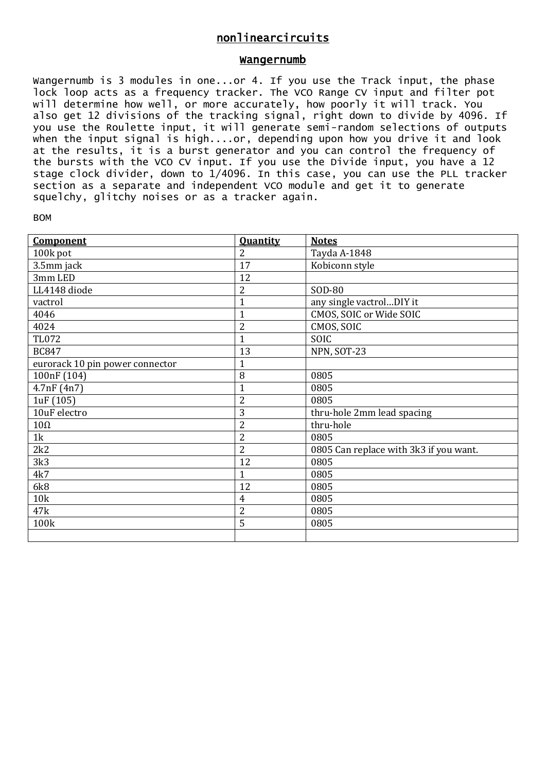## nonlinearcircuits

## Wangernumb

Wangernumb is 3 modules in one...or 4. If you use the Track input, the phase lock loop acts as a frequency tracker. The VCO Range CV input and filter pot will determine how well, or more accurately, how poorly it will track. You also get 12 divisions of the tracking signal, right down to divide by 4096. If you use the Roulette input, it will generate semi-random selections of outputs when the input signal is high....or, depending upon how you drive it and look at the results, it is a burst generator and you can control the frequency of the bursts with the VCO CV input. If you use the Divide input, you have a 12 stage clock divider, down to 1/4096. In this case, you can use the PLL tracker section as a separate and independent VCO module and get it to generate squelchy, glitchy noises or as a tracker again.

| Component                       | <b>Quantity</b> | <b>Notes</b>                           |
|---------------------------------|-----------------|----------------------------------------|
| 100k pot                        | $\overline{2}$  | Tayda A-1848                           |
| 3.5mm jack                      | 17              | Kobiconn style                         |
| 3mm LED                         | 12              |                                        |
| LL4148 diode                    | 2               | SOD-80                                 |
| vactrol                         | $\mathbf{1}$    | any single vactrolDIY it               |
| 4046                            | 1               | CMOS, SOIC or Wide SOIC                |
| 4024                            | $\overline{2}$  | CMOS, SOIC                             |
| <b>TL072</b>                    | 1               | SOIC                                   |
| <b>BC847</b>                    | 13              | NPN, SOT-23                            |
| eurorack 10 pin power connector | 1               |                                        |
| 100nF (104)                     | 8               | 0805                                   |
| 4.7nF(4n7)                      | $\mathbf{1}$    | 0805                                   |
| 1uF (105)                       | $\overline{c}$  | 0805                                   |
| 10uF electro                    | 3               | thru-hole 2mm lead spacing             |
| $10\Omega$                      | $\overline{2}$  | thru-hole                              |
| 1k                              | $\overline{2}$  | 0805                                   |
| 2k2                             | 2               | 0805 Can replace with 3k3 if you want. |
| 3k3                             | 12              | 0805                                   |
| 4k7                             | 1               | 0805                                   |
| 6k8                             | 12              | 0805                                   |
| 10k                             | 4               | 0805                                   |
| 47k                             | 2               | 0805                                   |
| 100k                            | 5               | 0805                                   |
|                                 |                 |                                        |

## BOM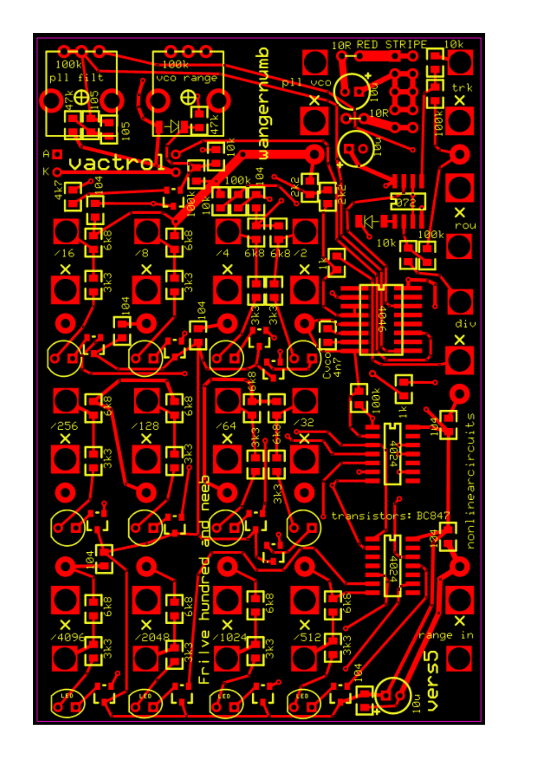